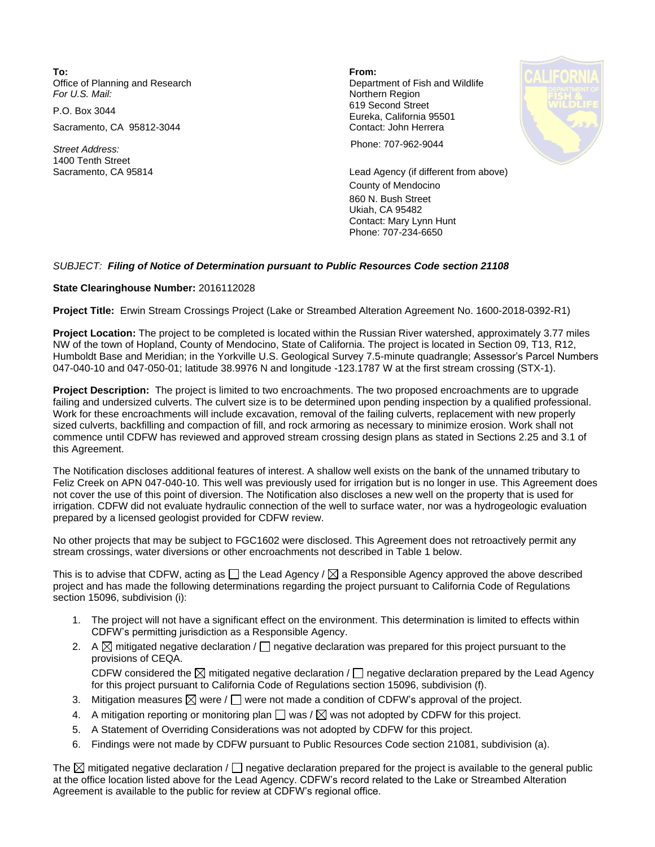**To: From:**  Office of Planning and Research **Department of Fish and Wildlife**<br>
For U.S. Mail: **Department of Fish and Wildlife** 

Sacramento, CA 95812-3044 Contact: John Herrera

1400 Tenth Street

**Northern Region** P.O. Box 3044 619 Second Street Eureka, California 95501



*Street Address:* Phone: 707-962-9044

Sacramento, CA 95814 Lead Agency (if different from above) County of Mendocino 860 N. Bush Street Ukiah, CA 95482 Contact: Mary Lynn Hunt Phone: 707-234-6650

## *SUBJECT: Filing of Notice of Determination pursuant to Public Resources Code section 21108*

## **State Clearinghouse Number:** 2016112028

**Project Title:** Erwin Stream Crossings Project (Lake or Streambed Alteration Agreement No. 1600-2018-0392-R1)

**Project Location:** The project to be completed is located within the Russian River watershed, approximately 3.77 miles NW of the town of Hopland, County of Mendocino, State of California. The project is located in Section 09, T13, R12, Humboldt Base and Meridian; in the Yorkville U.S. Geological Survey 7.5-minute quadrangle; Assessor's Parcel Numbers 047-040-10 and 047-050-01; latitude 38.9976 N and longitude -123.1787 W at the first stream crossing (STX-1).

**Project Description:** The project is limited to two encroachments. The two proposed encroachments are to upgrade failing and undersized culverts. The culvert size is to be determined upon pending inspection by a qualified professional. Work for these encroachments will include excavation, removal of the failing culverts, replacement with new properly sized culverts, backfilling and compaction of fill, and rock armoring as necessary to minimize erosion. Work shall not commence until CDFW has reviewed and approved stream crossing design plans as stated in Sections 2.25 and 3.1 of this Agreement.

The Notification discloses additional features of interest. A shallow well exists on the bank of the unnamed tributary to Feliz Creek on APN 047-040-10. This well was previously used for irrigation but is no longer in use. This Agreement does not cover the use of this point of diversion. The Notification also discloses a new well on the property that is used for irrigation. CDFW did not evaluate hydraulic connection of the well to surface water, nor was a hydrogeologic evaluation prepared by a licensed geologist provided for CDFW review.

No other projects that may be subject to FGC1602 were disclosed. This Agreement does not retroactively permit any stream crossings, water diversions or other encroachments not described in Table 1 below.

This is to advise that CDFW, acting as  $\Box$  the Lead Agency /  $\boxtimes$  a Responsible Agency approved the above described project and has made the following determinations regarding the project pursuant to California Code of Regulations section 15096, subdivision (i):

- 1. The project will not have a significant effect on the environment. This determination is limited to effects within CDFW's permitting jurisdiction as a Responsible Agency.
- 2. A  $\boxtimes$  mitigated negative declaration /  $\Box$  negative declaration was prepared for this project pursuant to the provisions of CEQA. CDFW considered the  $\boxtimes$  mitigated negative declaration /  $\Box$  negative declaration prepared by the Lead Agency

for this project pursuant to California Code of Regulations section 15096, subdivision (f).

- 3. Mitigation measures  $\boxtimes$  were  $/\Box$  were not made a condition of CDFW's approval of the project.
- 4. A mitigation reporting or monitoring plan  $\square$  was /  $\boxtimes$  was not adopted by CDFW for this project.
- 5. A Statement of Overriding Considerations was not adopted by CDFW for this project.
- 6. Findings were not made by CDFW pursuant to Public Resources Code section 21081, subdivision (a).

The  $\boxtimes$  mitigated negative declaration /  $\Box$  negative declaration prepared for the project is available to the general public at the office location listed above for the Lead Agency. CDFW's record related to the Lake or Streambed Alteration Agreement is available to the public for review at CDFW's regional office.